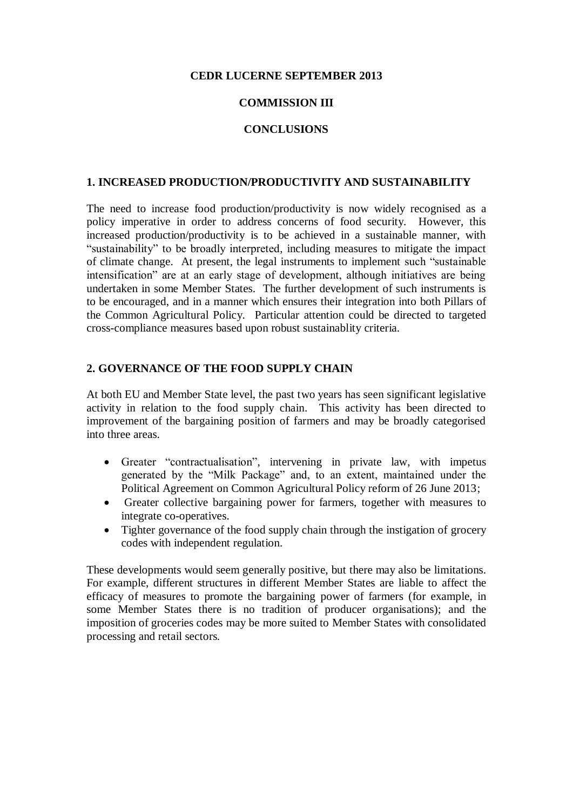## **CEDR LUCERNE SEPTEMBER 2013**

# **COMMISSION III**

# **CONCLUSIONS**

#### **1. INCREASED PRODUCTION/PRODUCTIVITY AND SUSTAINABILITY**

The need to increase food production/productivity is now widely recognised as a policy imperative in order to address concerns of food security. However, this increased production/productivity is to be achieved in a sustainable manner, with "sustainability" to be broadly interpreted, including measures to mitigate the impact of climate change. At present, the legal instruments to implement such "sustainable intensification" are at an early stage of development, although initiatives are being undertaken in some Member States. The further development of such instruments is to be encouraged, and in a manner which ensures their integration into both Pillars of the Common Agricultural Policy. Particular attention could be directed to targeted cross-compliance measures based upon robust sustainablity criteria.

### **2. GOVERNANCE OF THE FOOD SUPPLY CHAIN**

At both EU and Member State level, the past two years has seen significant legislative activity in relation to the food supply chain. This activity has been directed to improvement of the bargaining position of farmers and may be broadly categorised into three areas.

- Greater "contractualisation", intervening in private law, with impetus generated by the "Milk Package" and, to an extent, maintained under the Political Agreement on Common Agricultural Policy reform of 26 June 2013;
- Greater collective bargaining power for farmers, together with measures to integrate co-operatives.
- Tighter governance of the food supply chain through the instigation of grocery codes with independent regulation.

These developments would seem generally positive, but there may also be limitations. For example, different structures in different Member States are liable to affect the efficacy of measures to promote the bargaining power of farmers (for example, in some Member States there is no tradition of producer organisations); and the imposition of groceries codes may be more suited to Member States with consolidated processing and retail sectors.